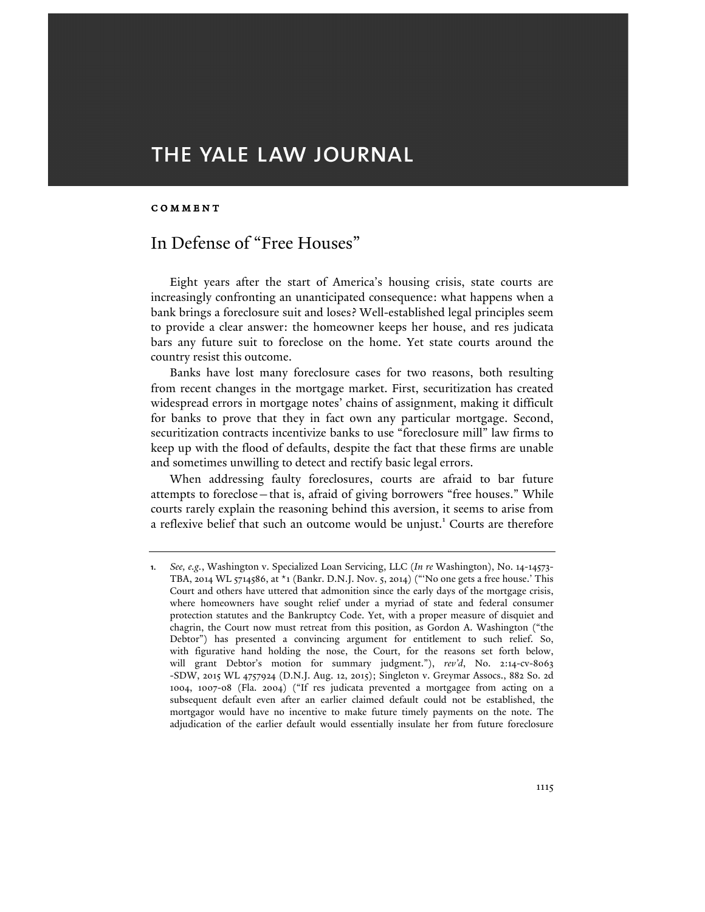# THE YALE LAW JOURNAL

## COMMENT

## In Defense of "Free Houses"

Eight years after the start of America's housing crisis, state courts are increasingly confronting an unanticipated consequence: what happens when a bank brings a foreclosure suit and loses? Well-established legal principles seem to provide a clear answer: the homeowner keeps her house, and res judicata bars any future suit to foreclose on the home. Yet state courts around the country resist this outcome.

Banks have lost many foreclosure cases for two reasons, both resulting from recent changes in the mortgage market. First, securitization has created widespread errors in mortgage notes' chains of assignment, making it difficult for banks to prove that they in fact own any particular mortgage. Second, securitization contracts incentivize banks to use "foreclosure mill" law firms to keep up with the flood of defaults, despite the fact that these firms are unable and sometimes unwilling to detect and rectify basic legal errors.

When addressing faulty foreclosures, courts are afraid to bar future attempts to foreclose—that is, afraid of giving borrowers "free houses." While courts rarely explain the reasoning behind this aversion, it seems to arise from a reflexive belief that such an outcome would be unjust.<sup>1</sup> Courts are therefore

**<sup>1</sup>**. *See, e.g.*, Washington v. Specialized Loan Servicing, LLC (*In re* Washington), No. 14-14573- TBA, 2014 WL 5714586, at \*1 (Bankr. D.N.J. Nov. 5, 2014) ("'No one gets a free house.' This Court and others have uttered that admonition since the early days of the mortgage crisis, where homeowners have sought relief under a myriad of state and federal consumer protection statutes and the Bankruptcy Code. Yet, with a proper measure of disquiet and chagrin, the Court now must retreat from this position, as Gordon A. Washington ("the Debtor") has presented a convincing argument for entitlement to such relief. So, with figurative hand holding the nose, the Court, for the reasons set forth below, will grant Debtor's motion for summary judgment."), *rev'd*, No. 2:14-cv-8063 -SDW, 2015 WL 4757924 (D.N.J. Aug. 12, 2015); Singleton v. Greymar Assocs., 882 So. 2d 1004, 1007-08 (Fla. 2004) ("If res judicata prevented a mortgagee from acting on a subsequent default even after an earlier claimed default could not be established, the mortgagor would have no incentive to make future timely payments on the note. The adjudication of the earlier default would essentially insulate her from future foreclosure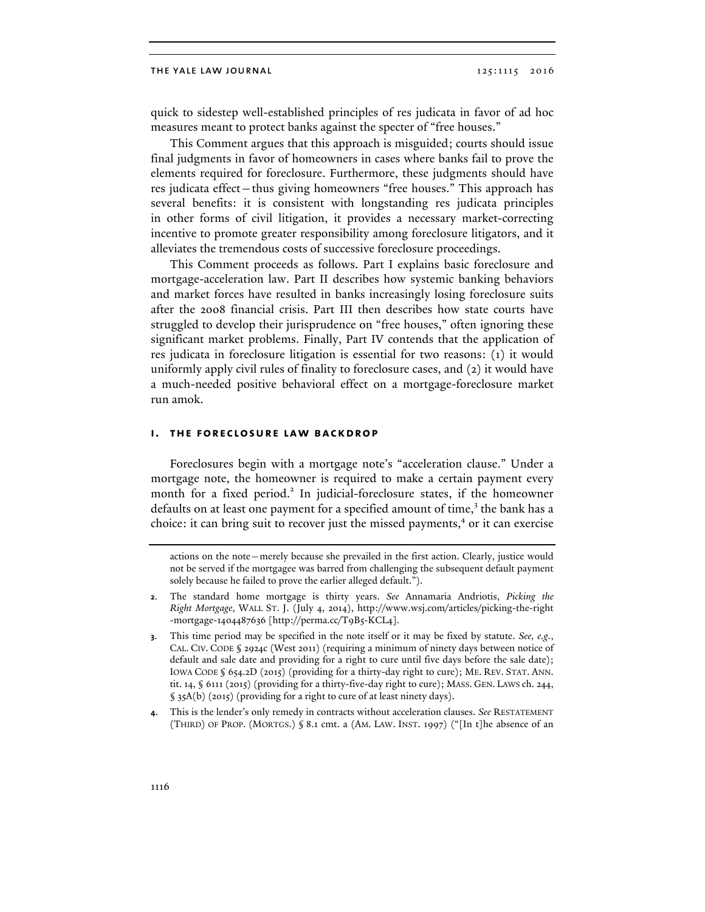quick to sidestep well-established principles of res judicata in favor of ad hoc measures meant to protect banks against the specter of "free houses."

This Comment argues that this approach is misguided; courts should issue final judgments in favor of homeowners in cases where banks fail to prove the elements required for foreclosure. Furthermore, these judgments should have res judicata effect—thus giving homeowners "free houses." This approach has several benefits: it is consistent with longstanding res judicata principles in other forms of civil litigation, it provides a necessary market-correcting incentive to promote greater responsibility among foreclosure litigators, and it alleviates the tremendous costs of successive foreclosure proceedings.

This Comment proceeds as follows. Part I explains basic foreclosure and mortgage-acceleration law. Part II describes how systemic banking behaviors and market forces have resulted in banks increasingly losing foreclosure suits after the 2008 financial crisis. Part III then describes how state courts have struggled to develop their jurisprudence on "free houses," often ignoring these significant market problems. Finally, Part IV contends that the application of res judicata in foreclosure litigation is essential for two reasons: (1) it would uniformly apply civil rules of finality to foreclosure cases, and (2) it would have a much-needed positive behavioral effect on a mortgage-foreclosure market run amok.

#### **i. the foreclosure law backdrop**

Foreclosures begin with a mortgage note's "acceleration clause." Under a mortgage note, the homeowner is required to make a certain payment every month for a fixed period.<sup>2</sup> In judicial-foreclosure states, if the homeowner defaults on at least one payment for a specified amount of time, $3$  the bank has a choice: it can bring suit to recover just the missed payments, <sup>4</sup> or it can exercise

**4**. This is the lender's only remedy in contracts without acceleration clauses. *See* RESTATEMENT (THIRD) OF PROP. (MORTGS.) § 8.1 cmt. a (AM. LAW. INST. 1997) ("[In t]he absence of an

actions on the note—merely because she prevailed in the first action. Clearly, justice would not be served if the mortgagee was barred from challenging the subsequent default payment solely because he failed to prove the earlier alleged default.").

**<sup>2</sup>**. The standard home mortgage is thirty years. *See* Annamaria Andriotis, *Picking the Right Mortgage*, WALL ST. J. (July 4, 2014), http://www.wsj.com/articles/picking-the-right -mortgage-1404487636 [http://perma.cc/T9B5-KCL4].

**<sup>3</sup>**. This time period may be specified in the note itself or it may be fixed by statute. *See, e.g.*, CAL. CIV. CODE § 2924c (West 2011) (requiring a minimum of ninety days between notice of default and sale date and providing for a right to cure until five days before the sale date); IOWA CODE § 654.2D (2015) (providing for a thirty-day right to cure); ME. REV. STAT. ANN. tit. 14, § 6111 (2015) (providing for a thirty-five-day right to cure); MASS. GEN. LAWS ch. 244, § 35A(b) (2015) (providing for a right to cure of at least ninety days).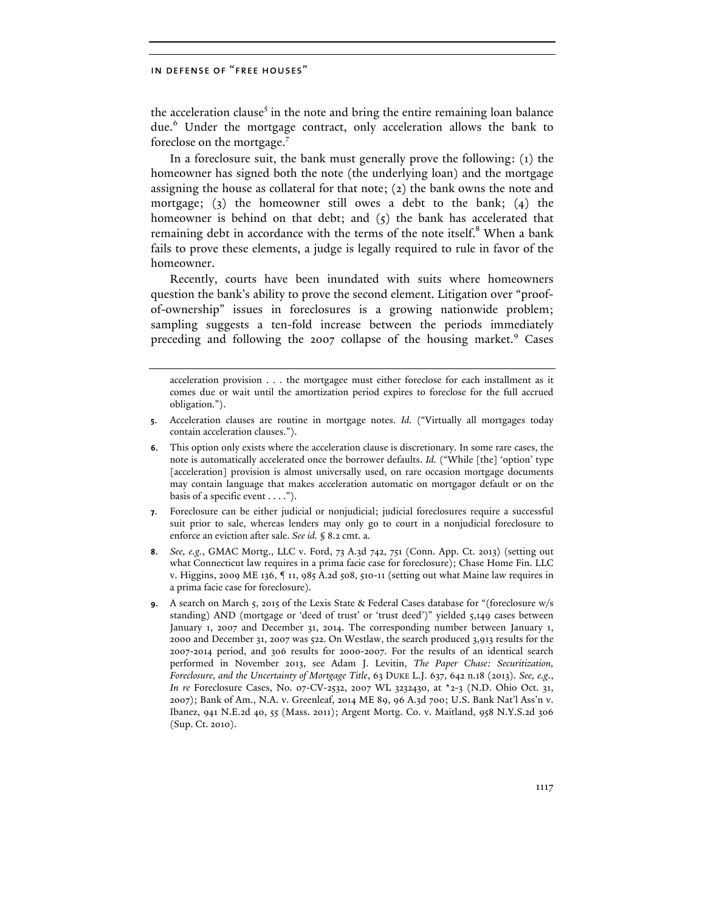the acceleration clause<sup>5</sup> in the note and bring the entire remaining loan balance due.<sup>6</sup> Under the mortgage contract, only acceleration allows the bank to foreclose on the mortgage.7

In a foreclosure suit, the bank must generally prove the following: (1) the homeowner has signed both the note (the underlying loan) and the mortgage assigning the house as collateral for that note; (2) the bank owns the note and mortgage; (3) the homeowner still owes a debt to the bank; (4) the homeowner is behind on that debt; and  $(5)$  the bank has accelerated that remaining debt in accordance with the terms of the note itself.<sup>8</sup> When a bank fails to prove these elements, a judge is legally required to rule in favor of the homeowner.

Recently, courts have been inundated with suits where homeowners question the bank's ability to prove the second element. Litigation over "proofof-ownership" issues in foreclosures is a growing nationwide problem; sampling suggests a ten-fold increase between the periods immediately preceding and following the 2007 collapse of the housing market.<sup>9</sup> Cases

- **6**. This option only exists where the acceleration clause is discretionary. In some rare cases, the note is automatically accelerated once the borrower defaults. *Id.* ("While [the] 'option' type [acceleration] provision is almost universally used, on rare occasion mortgage documents may contain language that makes acceleration automatic on mortgagor default or on the basis of a specific event . . . .").
- **7**. Foreclosure can be either judicial or nonjudicial; judicial foreclosures require a successful suit prior to sale, whereas lenders may only go to court in a nonjudicial foreclosure to enforce an eviction after sale. *See id.* § 8.2 cmt. a.
- **8**. *See, e.g.*, GMAC Mortg., LLC v. Ford, 73 A.3d 742, 751 (Conn. App. Ct. 2013) (setting out what Connecticut law requires in a prima facie case for foreclosure); Chase Home Fin. LLC v. Higgins, 2009 ME 136, ¶ 11, 985 A.2d 508, 510-11 (setting out what Maine law requires in a prima facie case for foreclosure).
- **9**. A search on March 5, 2015 of the Lexis State & Federal Cases database for "(foreclosure w/s standing) AND (mortgage or 'deed of trust' or 'trust deed')" yielded 5,149 cases between January 1, 2007 and December 31, 2014. The corresponding number between January 1, 2000 and December 31, 2007 was 522. On Westlaw, the search produced 3,913 results for the 2007-2014 period, and 306 results for 2000-2007. For the results of an identical search performed in November 2013, see Adam J. Levitin, *The Paper Chase: Securitization, Foreclosure, and the Uncertainty of Mortgage Title*, 63 DUKE L.J. 637, 642 n.18 (2013). *See, e.g.*, *In re* Foreclosure Cases, No. 07-CV-2532, 2007 WL 3232430, at \*2-3 (N.D. Ohio Oct. 31, 2007); Bank of Am., N.A. v. Greenleaf, 2014 ME 89, 96 A.3d 700; U.S. Bank Nat'l Ass'n v. Ibanez, 941 N.E.2d 40, 55 (Mass. 2011); Argent Mortg. Co. v. Maitland, 958 N.Y.S.2d 306 (Sup. Ct. 2010).

acceleration provision . . . the mortgagee must either foreclose for each installment as it comes due or wait until the amortization period expires to foreclose for the full accrued obligation.").

**<sup>5</sup>**. Acceleration clauses are routine in mortgage notes. *Id.* ("Virtually all mortgages today contain acceleration clauses.").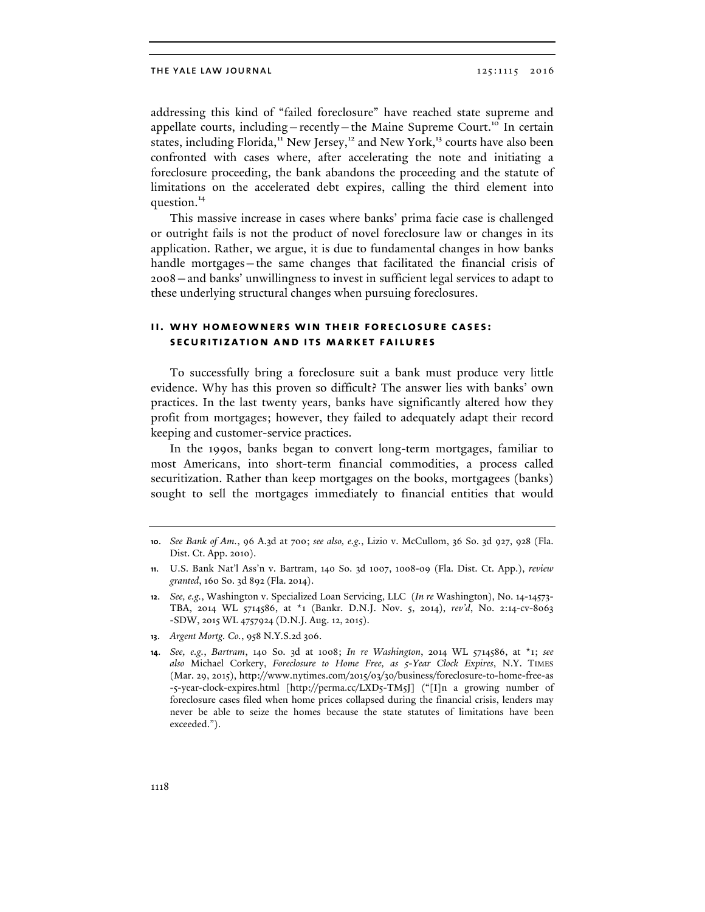addressing this kind of "failed foreclosure" have reached state supreme and appellate courts, including—recently—the Maine Supreme Court.<sup>10</sup> In certain states, including Florida,<sup>11</sup> New Jersey,<sup>12</sup> and New York,<sup>13</sup> courts have also been confronted with cases where, after accelerating the note and initiating a foreclosure proceeding, the bank abandons the proceeding and the statute of limitations on the accelerated debt expires, calling the third element into question.<sup>14</sup>

This massive increase in cases where banks' prima facie case is challenged or outright fails is not the product of novel foreclosure law or changes in its application. Rather, we argue, it is due to fundamental changes in how banks handle mortgages—the same changes that facilitated the financial crisis of 2008—and banks' unwillingness to invest in sufficient legal services to adapt to these underlying structural changes when pursuing foreclosures.

## **ii. why homeowners win their foreclosure cases: securitization and its market failures**

To successfully bring a foreclosure suit a bank must produce very little evidence. Why has this proven so difficult? The answer lies with banks' own practices. In the last twenty years, banks have significantly altered how they profit from mortgages; however, they failed to adequately adapt their record keeping and customer-service practices.

In the 1990s, banks began to convert long-term mortgages, familiar to most Americans, into short-term financial commodities, a process called securitization. Rather than keep mortgages on the books, mortgagees (banks) sought to sell the mortgages immediately to financial entities that would

**13**. *Argent Mortg. Co.*, 958 N.Y.S.2d 306.

**<sup>10</sup>**. *See Bank of Am.*, 96 A.3d at 700; *see also, e.g.*, Lizio v. McCullom, 36 So. 3d 927, 928 (Fla. Dist. Ct. App. 2010).

**<sup>11</sup>**. U.S. Bank Nat'l Ass'n v. Bartram, 140 So. 3d 1007, 1008-09 (Fla. Dist. Ct. App.), *review granted*, 160 So. 3d 892 (Fla. 2014).

**<sup>12</sup>**. *See, e.g.*, Washington v. Specialized Loan Servicing, LLC (*In re* Washington), No. 14-14573- TBA, 2014 WL 5714586, at \*1 (Bankr. D.N.J. Nov. 5, 2014), *rev'd*, No. 2:14-cv-8063 -SDW, 2015 WL 4757924 (D.N.J. Aug. 12, 2015).

**<sup>14</sup>**. *See, e.g.*, *Bartram*, 140 So. 3d at 1008; *In re Washington*, 2014 WL 5714586, at \*1; *see also* Michael Corkery, *Foreclosure to Home Free, as 5-Year Clock Expires*, N.Y. TIMES (Mar. 29, 2015), http://www.nytimes.com/2015/03/30/business/foreclosure-to-home-free-as -5-year-clock-expires.html [http://perma.cc/LXD5-TM5J] ("[I]n a growing number of foreclosure cases filed when home prices collapsed during the financial crisis, lenders may never be able to seize the homes because the state statutes of limitations have been exceeded.").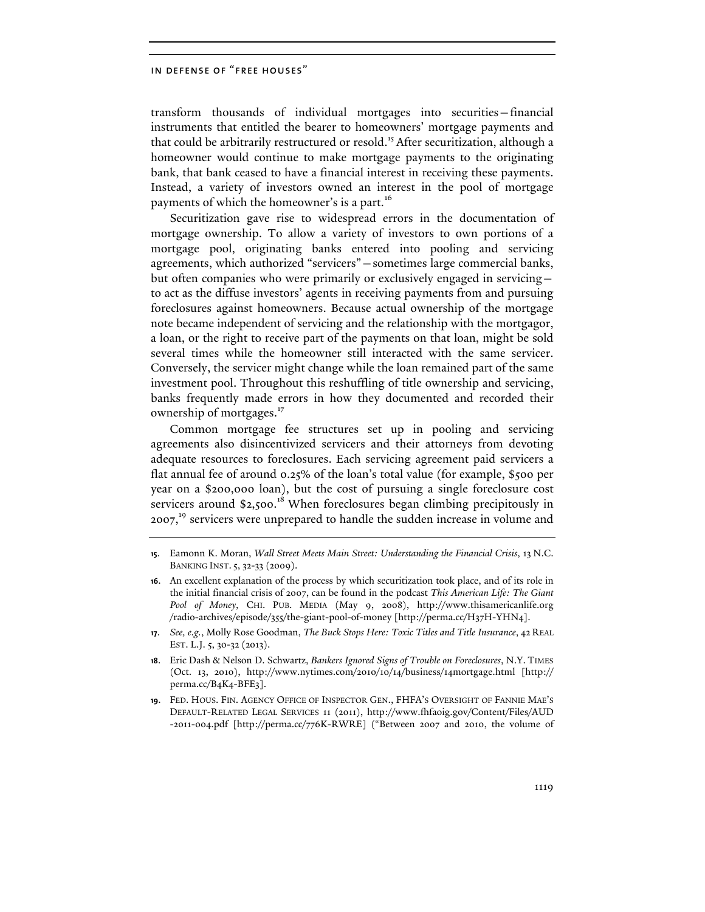transform thousands of individual mortgages into securities—financial instruments that entitled the bearer to homeowners' mortgage payments and that could be arbitrarily restructured or resold.<sup>15</sup> After securitization, although a homeowner would continue to make mortgage payments to the originating bank, that bank ceased to have a financial interest in receiving these payments. Instead, a variety of investors owned an interest in the pool of mortgage payments of which the homeowner's is a part.<sup>16</sup>

Securitization gave rise to widespread errors in the documentation of mortgage ownership. To allow a variety of investors to own portions of a mortgage pool, originating banks entered into pooling and servicing agreements, which authorized "servicers"—sometimes large commercial banks, but often companies who were primarily or exclusively engaged in servicing to act as the diffuse investors' agents in receiving payments from and pursuing foreclosures against homeowners. Because actual ownership of the mortgage note became independent of servicing and the relationship with the mortgagor, a loan, or the right to receive part of the payments on that loan, might be sold several times while the homeowner still interacted with the same servicer. Conversely, the servicer might change while the loan remained part of the same investment pool. Throughout this reshuffling of title ownership and servicing, banks frequently made errors in how they documented and recorded their ownership of mortgages.<sup>17</sup>

Common mortgage fee structures set up in pooling and servicing agreements also disincentivized servicers and their attorneys from devoting adequate resources to foreclosures. Each servicing agreement paid servicers a flat annual fee of around 0.25% of the loan's total value (for example, \$500 per year on a \$200,000 loan), but the cost of pursuing a single foreclosure cost servicers around \$2,500.<sup>18</sup> When foreclosures began climbing precipitously in  $2007<sup>19</sup>$  servicers were unprepared to handle the sudden increase in volume and

**17**. *See, e.g.*, Molly Rose Goodman, *The Buck Stops Here: Toxic Titles and Title Insurance*, 42 REAL EST. L.J. 5, 30-32 (2013).

**18**. Eric Dash & Nelson D. Schwartz, *Bankers Ignored Signs of Trouble on Foreclosures*, N.Y. TIMES (Oct. 13, 2010), http://www.nytimes.com/2010/10/14/business/14mortgage.html [http:// perma.cc/B4K4-BFE3].

**19**. FED. HOUS. FIN. AGENCY OFFICE OF INSPECTOR GEN., FHFA'S OVERSIGHT OF FANNIE MAE'S DEFAULT-RELATED LEGAL SERVICES 11 (2011), http://www.fhfaoig.gov/Content/Files/AUD -2011-004.pdf [http://perma.cc/776K-RWRE] ("Between 2007 and 2010, the volume of

**<sup>15</sup>**. Eamonn K. Moran, *Wall Street Meets Main Street: Understanding the Financial Crisis*, 13 N.C. BANKING INST. 5, 32-33 (2009).

**<sup>16</sup>**. An excellent explanation of the process by which securitization took place, and of its role in the initial financial crisis of 2007, can be found in the podcast *This American Life: The Giant Pool of Money*, CHI. PUB. MEDIA (May 9, 2008), http://www.thisamericanlife.org /radio-archives/episode/355/the-giant-pool-of-money [http://perma.cc/H37H-YHN4].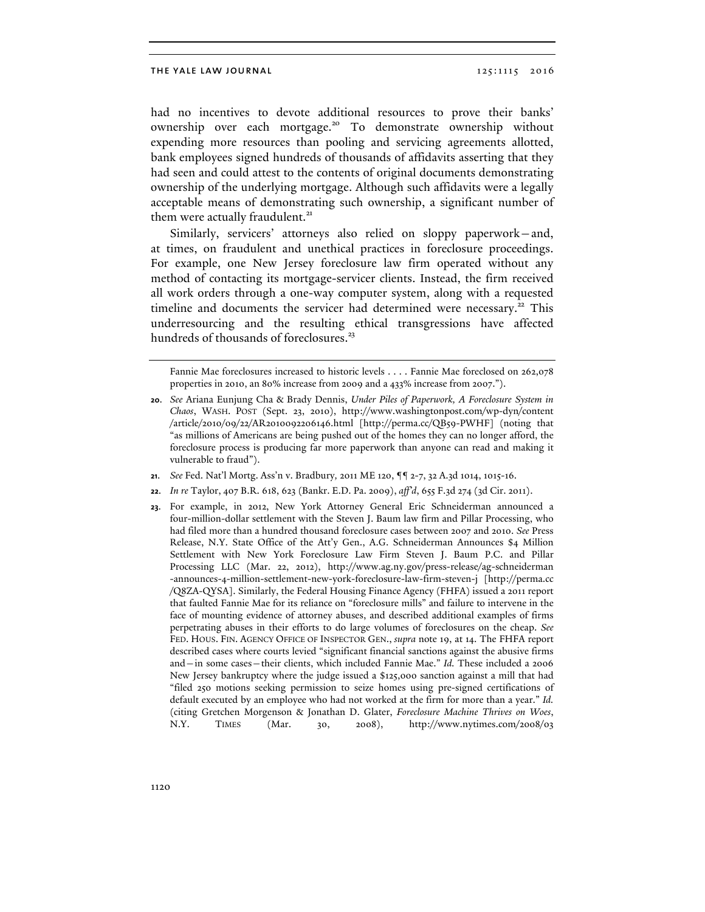had no incentives to devote additional resources to prove their banks' ownership over each mortgage.<sup>20</sup> To demonstrate ownership without expending more resources than pooling and servicing agreements allotted, bank employees signed hundreds of thousands of affidavits asserting that they had seen and could attest to the contents of original documents demonstrating ownership of the underlying mortgage. Although such affidavits were a legally acceptable means of demonstrating such ownership, a significant number of them were actually fraudulent.<sup>21</sup>

Similarly, servicers' attorneys also relied on sloppy paperwork—and, at times, on fraudulent and unethical practices in foreclosure proceedings. For example, one New Jersey foreclosure law firm operated without any method of contacting its mortgage-servicer clients. Instead, the firm received all work orders through a one-way computer system, along with a requested timeline and documents the servicer had determined were necessary.<sup>22</sup> This underresourcing and the resulting ethical transgressions have affected hundreds of thousands of foreclosures.<sup>23</sup>

Fannie Mae foreclosures increased to historic levels . . . . Fannie Mae foreclosed on 262,078 properties in 2010, an 80% increase from 2009 and a 433% increase from 2007.").

- **21**. *See* Fed. Nat'l Mortg. Ass'n v. Bradbury*,* 2011 ME 120, ¶¶ 2-7, 32 A.3d 1014, 1015-16.
- **22**. *In re* Taylor, 407 B.R. 618, 623 (Bankr. E.D. Pa. 2009), *aff'd*, 655 F.3d 274 (3d Cir. 2011).
- **23**. For example, in 2012, New York Attorney General Eric Schneiderman announced a four-million-dollar settlement with the Steven J. Baum law firm and Pillar Processing, who had filed more than a hundred thousand foreclosure cases between 2007 and 2010. *See* Press Release, N.Y. State Office of the Att'y Gen., A.G. Schneiderman Announces \$4 Million Settlement with New York Foreclosure Law Firm Steven J. Baum P.C. and Pillar Processing LLC (Mar. 22, 2012), http://www.ag.ny.gov/press-release/ag-schneiderman -announces-4-million-settlement-new-york-foreclosure-law-firm-steven-j [http://perma.cc /Q8ZA-QYSA]. Similarly, the Federal Housing Finance Agency (FHFA) issued a 2011 report that faulted Fannie Mae for its reliance on "foreclosure mills" and failure to intervene in the face of mounting evidence of attorney abuses, and described additional examples of firms perpetrating abuses in their efforts to do large volumes of foreclosures on the cheap. *See*  FED. HOUS. FIN. AGENCY OFFICE OF INSPECTOR GEN., *supra* note 19, at 14. The FHFA report described cases where courts levied "significant financial sanctions against the abusive firms and—in some cases—their clients, which included Fannie Mae." *Id.* These included a 2006 New Jersey bankruptcy where the judge issued a \$125,000 sanction against a mill that had "filed 250 motions seeking permission to seize homes using pre-signed certifications of default executed by an employee who had not worked at the firm for more than a year." *Id.*  (citing Gretchen Morgenson & Jonathan D. Glater, *Foreclosure Machine Thrives on Woes*, N.Y. TIMES (Mar. 30, 2008), http://www.nytimes.com/2008/03

**<sup>20</sup>**. *See* Ariana Eunjung Cha & Brady Dennis, *Under Piles of Paperwork, A Foreclosure System in Chaos*, WASH. POST (Sept. 23, 2010), http://www.washingtonpost.com/wp-dyn/content /article/2010/09/22/AR2010092206146.html [http://perma.cc/QB59-PWHF] (noting that "as millions of Americans are being pushed out of the homes they can no longer afford, the foreclosure process is producing far more paperwork than anyone can read and making it vulnerable to fraud").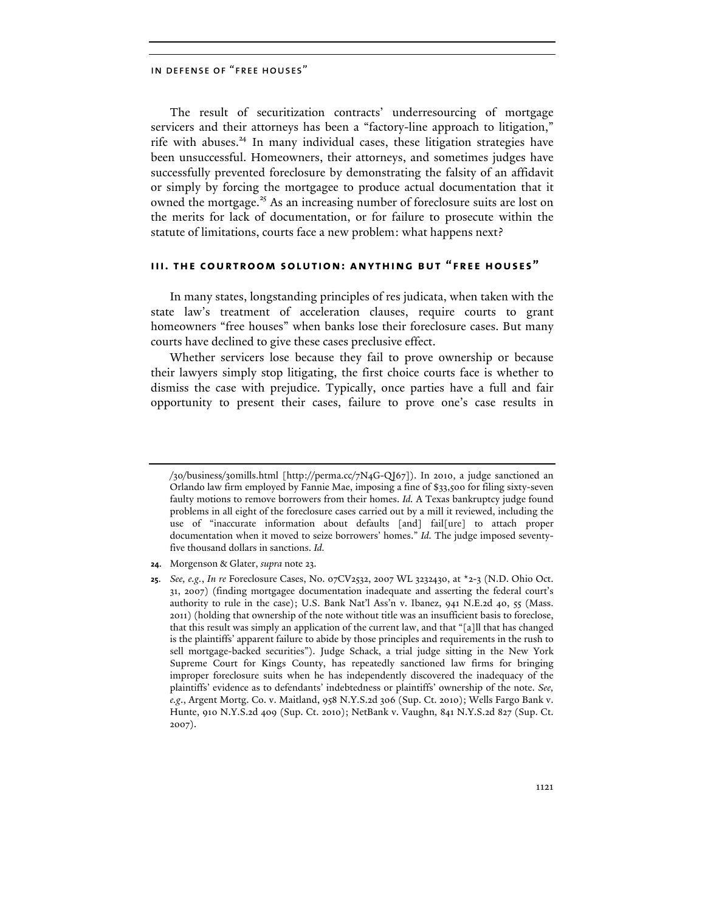The result of securitization contracts' underresourcing of mortgage servicers and their attorneys has been a "factory-line approach to litigation," rife with abuses. $^{24}$  In many individual cases, these litigation strategies have been unsuccessful. Homeowners, their attorneys, and sometimes judges have successfully prevented foreclosure by demonstrating the falsity of an affidavit or simply by forcing the mortgagee to produce actual documentation that it owned the mortgage.<sup>25</sup> As an increasing number of foreclosure suits are lost on the merits for lack of documentation, or for failure to prosecute within the statute of limitations, courts face a new problem: what happens next?

## **iii. the courtroom solution: anything but "free houses"**

In many states, longstanding principles of res judicata, when taken with the state law's treatment of acceleration clauses, require courts to grant homeowners "free houses" when banks lose their foreclosure cases. But many courts have declined to give these cases preclusive effect.

Whether servicers lose because they fail to prove ownership or because their lawyers simply stop litigating, the first choice courts face is whether to dismiss the case with prejudice. Typically, once parties have a full and fair opportunity to present their cases, failure to prove one's case results in

<sup>/30/</sup>business/30mills.html [http://perma.cc/7N4G-QJ67]). In 2010, a judge sanctioned an Orlando law firm employed by Fannie Mae, imposing a fine of \$33,500 for filing sixty-seven faulty motions to remove borrowers from their homes. *Id.* A Texas bankruptcy judge found problems in all eight of the foreclosure cases carried out by a mill it reviewed, including the use of "inaccurate information about defaults [and] fail[ure] to attach proper documentation when it moved to seize borrowers' homes." *Id.* The judge imposed seventyfive thousand dollars in sanctions. *Id.* 

**<sup>24</sup>**. Morgenson & Glater, *supra* note 23.

**<sup>25</sup>**. *See, e.g.*, *In re* Foreclosure Cases, No. 07CV2532, 2007 WL 3232430, at \*2-3 (N.D. Ohio Oct. 31, 2007) (finding mortgagee documentation inadequate and asserting the federal court's authority to rule in the case); U.S. Bank Nat'l Ass'n v. Ibanez, 941 N.E.2d 40, 55 (Mass. 2011) (holding that ownership of the note without title was an insufficient basis to foreclose, that this result was simply an application of the current law, and that "[a]ll that has changed is the plaintiffs' apparent failure to abide by those principles and requirements in the rush to sell mortgage-backed securities"). Judge Schack, a trial judge sitting in the New York Supreme Court for Kings County, has repeatedly sanctioned law firms for bringing improper foreclosure suits when he has independently discovered the inadequacy of the plaintiffs' evidence as to defendants' indebtedness or plaintiffs' ownership of the note. *See, e.g*., Argent Mortg. Co. v. Maitland, 958 N.Y.S.2d 306 (Sup. Ct. 2010); Wells Fargo Bank v. Hunte, 910 N.Y.S.2d 409 (Sup. Ct. 2010); NetBank v. Vaughn*,* 841 N.Y.S.2d 827 (Sup. Ct. 2007).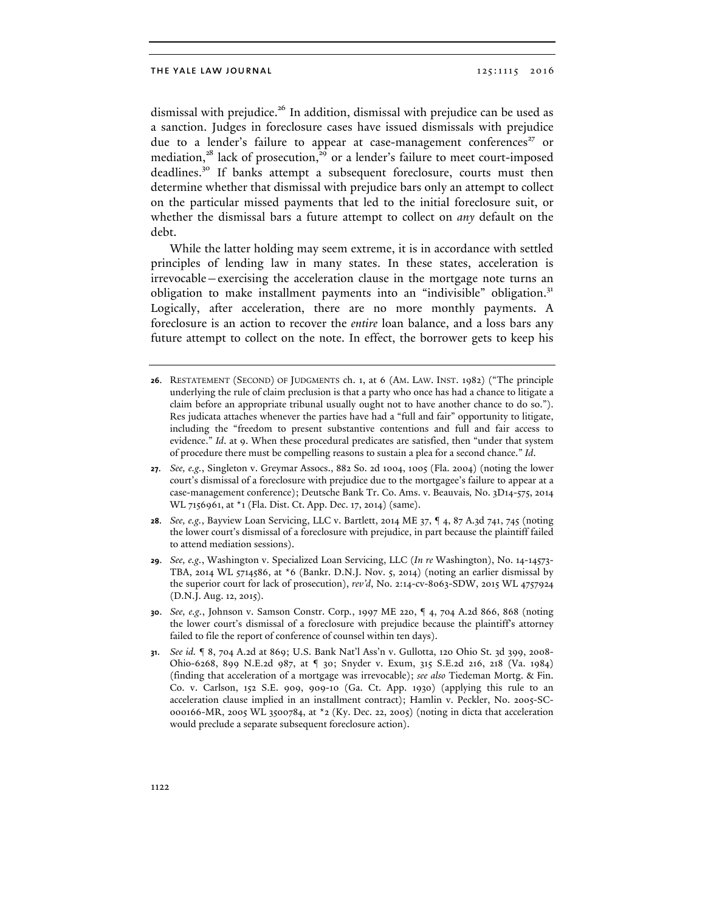dismissal with prejudice.<sup>26</sup> In addition, dismissal with prejudice can be used as a sanction. Judges in foreclosure cases have issued dismissals with prejudice due to a lender's failure to appear at case-management conferences<sup>27</sup> or mediation,<sup>28</sup> lack of prosecution,<sup>29</sup> or a lender's failure to meet court-imposed deadlines.<sup>30</sup> If banks attempt a subsequent foreclosure, courts must then determine whether that dismissal with prejudice bars only an attempt to collect on the particular missed payments that led to the initial foreclosure suit, or whether the dismissal bars a future attempt to collect on *any* default on the debt.

While the latter holding may seem extreme, it is in accordance with settled principles of lending law in many states. In these states, acceleration is irrevocable—exercising the acceleration clause in the mortgage note turns an obligation to make installment payments into an "indivisible" obligation.<sup>31</sup> Logically, after acceleration, there are no more monthly payments. A foreclosure is an action to recover the *entire* loan balance, and a loss bars any future attempt to collect on the note. In effect, the borrower gets to keep his

- **26**. RESTATEMENT (SECOND) OF JUDGMENTS ch. 1, at 6 (AM. LAW. INST. 1982) ("The principle underlying the rule of claim preclusion is that a party who once has had a chance to litigate a claim before an appropriate tribunal usually ought not to have another chance to do so."). Res judicata attaches whenever the parties have had a "full and fair" opportunity to litigate, including the "freedom to present substantive contentions and full and fair access to evidence." *Id*. at 9. When these procedural predicates are satisfied, then "under that system of procedure there must be compelling reasons to sustain a plea for a second chance." *Id*.
- **27**. *See, e.g.*, Singleton v. Greymar Assocs., 882 So. 2d 1004, 1005 (Fla. 2004) (noting the lower court's dismissal of a foreclosure with prejudice due to the mortgagee's failure to appear at a case-management conference); Deutsche Bank Tr. Co. Ams. v. Beauvais*,* No. 3D14-575, 2014 WL 7156961, at \*1 (Fla. Dist. Ct. App. Dec. 17, 2014) (same).
- **28**. *See, e.g.*, Bayview Loan Servicing, LLC v. Bartlett, 2014 ME 37, ¶ 4, 87 A.3d 741, 745 (noting the lower court's dismissal of a foreclosure with prejudice, in part because the plaintiff failed to attend mediation sessions).
- **29**. *See, e.g.*, Washington v. Specialized Loan Servicing, LLC (*In re* Washington), No. 14-14573- TBA, 2014 WL 5714586, at \*6 (Bankr. D.N.J. Nov. 5, 2014) (noting an earlier dismissal by the superior court for lack of prosecution), *rev'd*, No. 2:14-cv-8063-SDW, 2015 WL 4757924 (D.N.J. Aug. 12, 2015).
- **30**. *See, e.g.*, Johnson v. Samson Constr. Corp*.*, 1997 ME 220, ¶ 4, 704 A.2d 866, 868 (noting the lower court's dismissal of a foreclosure with prejudice because the plaintiff's attorney failed to file the report of conference of counsel within ten days).
- **31**. *See id.* ¶ 8, 704 A.2d at 869; U.S. Bank Nat'l Ass'n v. Gullotta, 120 Ohio St. 3d 399, 2008- Ohio-6268, 899 N.E.2d 987, at ¶ 30; Snyder v. Exum, 315 S.E.2d 216, 218 (Va. 1984) (finding that acceleration of a mortgage was irrevocable); *see also* Tiedeman Mortg. & Fin. Co. v. Carlson, 152 S.E. 909, 909-10 (Ga. Ct. App. 1930) (applying this rule to an acceleration clause implied in an installment contract); Hamlin v. Peckler, No. 2005-SC-000166-MR, 2005 WL 3500784, at \*2 (Ky. Dec. 22, 2005) (noting in dicta that acceleration would preclude a separate subsequent foreclosure action).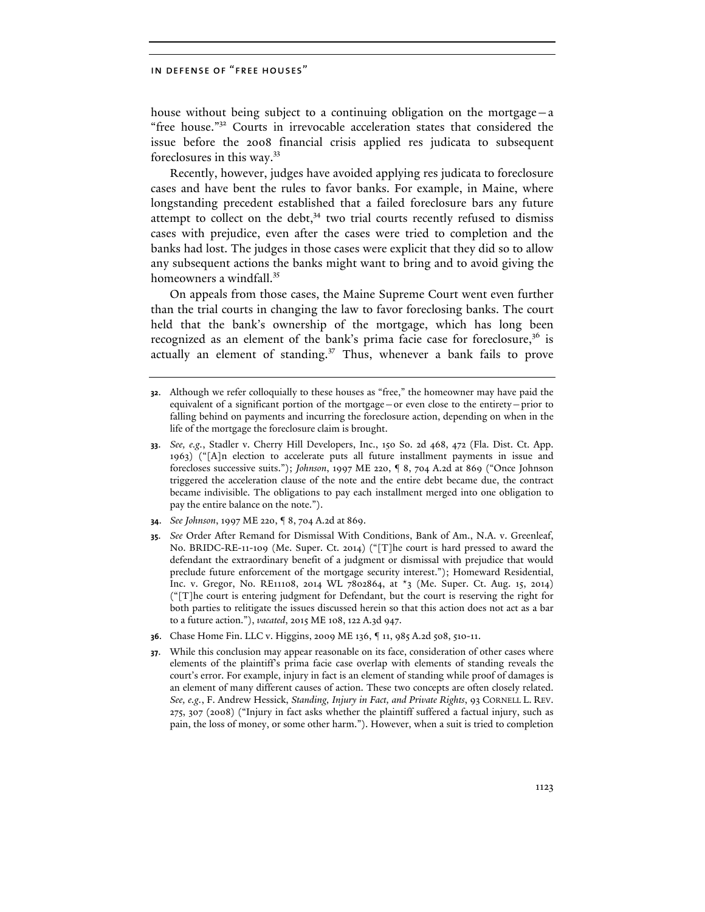house without being subject to a continuing obligation on the mortgage—a "free house."<sup>32</sup> Courts in irrevocable acceleration states that considered the issue before the 2008 financial crisis applied res judicata to subsequent foreclosures in this way.33

Recently, however, judges have avoided applying res judicata to foreclosure cases and have bent the rules to favor banks. For example, in Maine, where longstanding precedent established that a failed foreclosure bars any future attempt to collect on the debt, $34$  two trial courts recently refused to dismiss cases with prejudice, even after the cases were tried to completion and the banks had lost. The judges in those cases were explicit that they did so to allow any subsequent actions the banks might want to bring and to avoid giving the homeowners a windfall.<sup>35</sup>

On appeals from those cases, the Maine Supreme Court went even further than the trial courts in changing the law to favor foreclosing banks. The court held that the bank's ownership of the mortgage, which has long been recognized as an element of the bank's prima facie case for foreclosure,<sup>36</sup> is actually an element of standing.<sup>37</sup> Thus, whenever a bank fails to prove

- **34**. *See Johnson*, 1997 ME 220, ¶ 8, 704 A.2d at 869.
- **35**. *See* Order After Remand for Dismissal With Conditions, Bank of Am., N.A. v. Greenleaf, No. BRIDC-RE-11-109 (Me. Super. Ct. 2014) ("[T]he court is hard pressed to award the defendant the extraordinary benefit of a judgment or dismissal with prejudice that would preclude future enforcement of the mortgage security interest."); Homeward Residential, Inc. v. Gregor, No. RE11108, 2014 WL 7802864, at \*3 (Me. Super. Ct. Aug. 15, 2014) ("[T]he court is entering judgment for Defendant, but the court is reserving the right for both parties to relitigate the issues discussed herein so that this action does not act as a bar to a future action."), *vacated*, 2015 ME 108, 122 A.3d 947.
- **36**. Chase Home Fin. LLC v. Higgins, 2009 ME 136, ¶ 11, 985 A.2d 508, 510-11.
- **37**. While this conclusion may appear reasonable on its face, consideration of other cases where elements of the plaintiff's prima facie case overlap with elements of standing reveals the court's error. For example, injury in fact is an element of standing while proof of damages is an element of many different causes of action. These two concepts are often closely related. *See, e.g.*, F. Andrew Hessick, *Standing, Injury in Fact, and Private Rights*, 93 CORNELL L. REV. 275, 307 (2008) ("Injury in fact asks whether the plaintiff suffered a factual injury, such as pain, the loss of money, or some other harm."). However, when a suit is tried to completion

**<sup>32</sup>**. Although we refer colloquially to these houses as "free," the homeowner may have paid the equivalent of a significant portion of the mortgage—or even close to the entirety—prior to falling behind on payments and incurring the foreclosure action, depending on when in the life of the mortgage the foreclosure claim is brought.

**<sup>33</sup>**. *See, e.g.*, Stadler v. Cherry Hill Developers, Inc., 150 So. 2d 468, 472 (Fla. Dist. Ct. App. 1963) ("[A]n election to accelerate puts all future installment payments in issue and forecloses successive suits."); *Johnson*, 1997 ME 220, ¶ 8, 704 A.2d at 869 ("Once Johnson triggered the acceleration clause of the note and the entire debt became due, the contract became indivisible. The obligations to pay each installment merged into one obligation to pay the entire balance on the note.").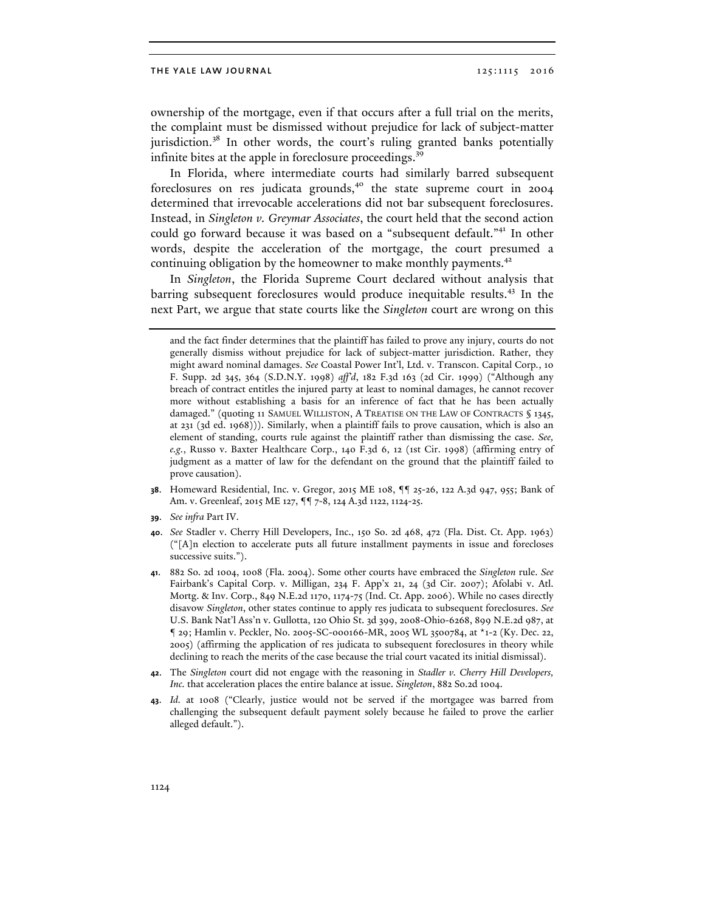ownership of the mortgage, even if that occurs after a full trial on the merits, the complaint must be dismissed without prejudice for lack of subject-matter jurisdiction.<sup>38</sup> In other words, the court's ruling granted banks potentially infinite bites at the apple in foreclosure proceedings.<sup>3</sup>

In Florida, where intermediate courts had similarly barred subsequent foreclosures on res judicata grounds, $40$  the state supreme court in 2004 determined that irrevocable accelerations did not bar subsequent foreclosures. Instead, in *Singleton v. Greymar Associates*, the court held that the second action could go forward because it was based on a "subsequent default."<sup>41</sup> In other words, despite the acceleration of the mortgage, the court presumed a continuing obligation by the homeowner to make monthly payments.<sup>42</sup>

In *Singleton*, the Florida Supreme Court declared without analysis that barring subsequent foreclosures would produce inequitable results.<sup>43</sup> In the next Part, we argue that state courts like the *Singleton* court are wrong on this

- **38**. Homeward Residential, Inc. v. Gregor, 2015 ME 108, ¶¶ 25-26, 122 A.3d 947, 955; Bank of Am. v. Greenleaf, 2015 ME 127, ¶¶ 7-8, 124 A.3d 1122, 1124-25.
- **39**. *See infra* Part IV.
- **40**. *See* Stadler v. Cherry Hill Developers, Inc., 150 So. 2d 468, 472 (Fla. Dist. Ct. App. 1963) ("[A]n election to accelerate puts all future installment payments in issue and forecloses successive suits.").
- **41**. 882 So. 2d 1004, 1008 (Fla. 2004). Some other courts have embraced the *Singleton* rule. *See*  Fairbank's Capital Corp. v. Milligan, 234 F. App'x 21, 24 (3d Cir. 2007); Afolabi v. Atl. Mortg. & Inv. Corp., 849 N.E.2d 1170, 1174-75 (Ind. Ct. App. 2006). While no cases directly disavow *Singleton*, other states continue to apply res judicata to subsequent foreclosures. *See*  U.S. Bank Nat'l Ass'n v. Gullotta, 120 Ohio St. 3d 399, 2008-Ohio-6268, 899 N.E.2d 987, at ¶ 29; Hamlin v. Peckler, No. 2005-SC-000166-MR, 2005 WL 3500784, at \*1-2 (Ky. Dec. 22, 2005) (affirming the application of res judicata to subsequent foreclosures in theory while declining to reach the merits of the case because the trial court vacated its initial dismissal).
- **42**. The *Singleton* court did not engage with the reasoning in *Stadler v. Cherry Hill Developers, Inc.* that acceleration places the entire balance at issue. *Singleton*, 882 So.2d 1004.
- **43**. *Id.* at 1008 ("Clearly, justice would not be served if the mortgagee was barred from challenging the subsequent default payment solely because he failed to prove the earlier alleged default.").

and the fact finder determines that the plaintiff has failed to prove any injury, courts do not generally dismiss without prejudice for lack of subject-matter jurisdiction. Rather, they might award nominal damages. *See* Coastal Power Int'l, Ltd. v. Transcon. Capital Corp*.*, 10 F. Supp. 2d 345, 364 (S.D.N.Y. 1998) *aff'd*, 182 F.3d 163 (2d Cir. 1999) ("Although any breach of contract entitles the injured party at least to nominal damages, he cannot recover more without establishing a basis for an inference of fact that he has been actually damaged." (quoting 11 SAMUEL WILLISTON, A TREATISE ON THE LAW OF CONTRACTS § 1345, at 231 (3d ed. 1968))). Similarly, when a plaintiff fails to prove causation, which is also an element of standing, courts rule against the plaintiff rather than dismissing the case. *See, e.g.*, Russo v. Baxter Healthcare Corp., 140 F.3d 6, 12 (1st Cir. 1998) (affirming entry of judgment as a matter of law for the defendant on the ground that the plaintiff failed to prove causation).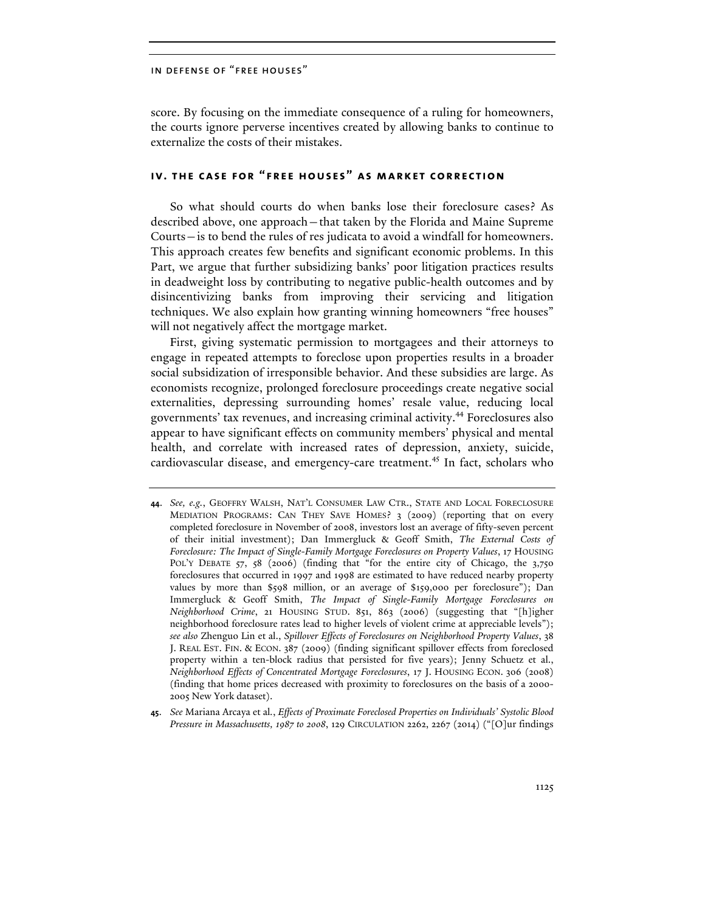score. By focusing on the immediate consequence of a ruling for homeowners, the courts ignore perverse incentives created by allowing banks to continue to externalize the costs of their mistakes.

## **iv. the case for "free houses" as market correction**

So what should courts do when banks lose their foreclosure cases? As described above, one approach—that taken by the Florida and Maine Supreme Courts—is to bend the rules of res judicata to avoid a windfall for homeowners. This approach creates few benefits and significant economic problems. In this Part, we argue that further subsidizing banks' poor litigation practices results in deadweight loss by contributing to negative public-health outcomes and by disincentivizing banks from improving their servicing and litigation techniques. We also explain how granting winning homeowners "free houses" will not negatively affect the mortgage market.

First, giving systematic permission to mortgagees and their attorneys to engage in repeated attempts to foreclose upon properties results in a broader social subsidization of irresponsible behavior. And these subsidies are large. As economists recognize, prolonged foreclosure proceedings create negative social externalities, depressing surrounding homes' resale value, reducing local governments' tax revenues, and increasing criminal activity.<sup>44</sup> Foreclosures also appear to have significant effects on community members' physical and mental health, and correlate with increased rates of depression, anxiety, suicide, cardiovascular disease, and emergency-care treatment.<sup>45</sup> In fact, scholars who

**45**. *See* Mariana Arcaya et al*.*, *Effects of Proximate Foreclosed Properties on Individuals' Systolic Blood Pressure in Massachusetts, 1987 to 2008*, 129 CIRCULATION 2262, 2267 (2014) ("[O]ur findings

**<sup>44</sup>**. *See, e.g.*, GEOFFRY WALSH, NAT'L CONSUMER LAW CTR., STATE AND LOCAL FORECLOSURE MEDIATION PROGRAMS: CAN THEY SAVE HOMES? 3 (2009) (reporting that on every completed foreclosure in November of 2008, investors lost an average of fifty-seven percent of their initial investment); Dan Immergluck & Geoff Smith, *The External Costs of Foreclosure: The Impact of Single-Family Mortgage Foreclosures on Property Values*, 17 HOUSING POL'Y DEBATE 57, 58 (2006) (finding that "for the entire city of Chicago, the 3,750 foreclosures that occurred in 1997 and 1998 are estimated to have reduced nearby property values by more than \$598 million, or an average of \$159,000 per foreclosure"); Dan Immergluck & Geoff Smith, *The Impact of Single-Family Mortgage Foreclosures on Neighborhood Crime*, 21 HOUSING STUD. 851, 863 (2006) (suggesting that "[h]igher neighborhood foreclosure rates lead to higher levels of violent crime at appreciable levels"); *see also* Zhenguo Lin et al., *Spillover Effects of Foreclosures on Neighborhood Property Values*, 38 J. REAL EST. FIN. & ECON. 387 (2009) (finding significant spillover effects from foreclosed property within a ten-block radius that persisted for five years); Jenny Schuetz et al., *Neighborhood Effects of Concentrated Mortgage Foreclosures*, 17 J. HOUSING ECON. 306 (2008) (finding that home prices decreased with proximity to foreclosures on the basis of a 2000- 2005 New York dataset).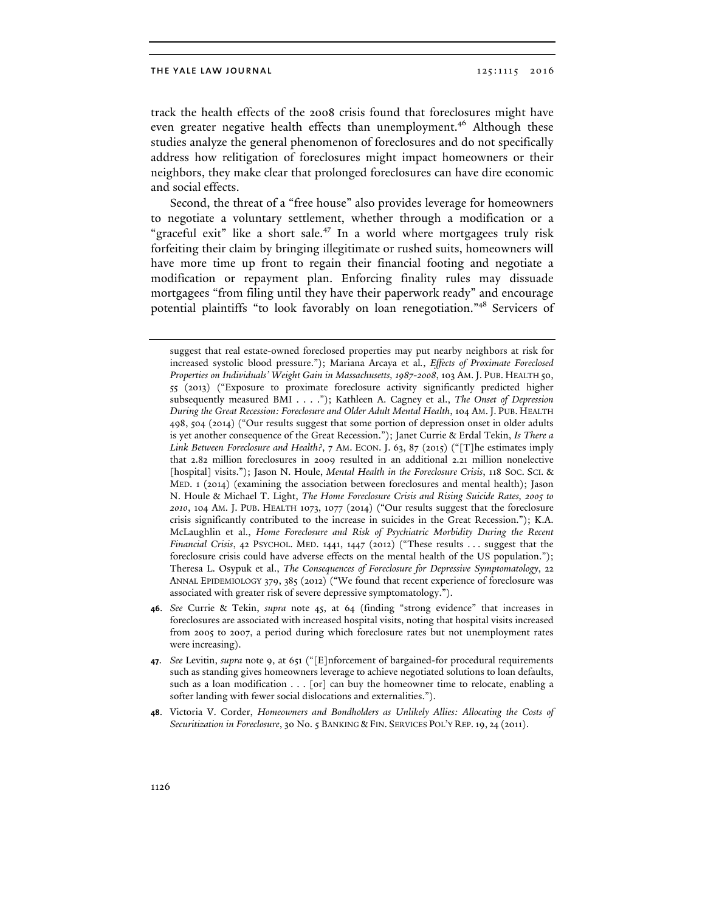track the health effects of the 2008 crisis found that foreclosures might have even greater negative health effects than unemployment.<sup>46</sup> Although these studies analyze the general phenomenon of foreclosures and do not specifically address how relitigation of foreclosures might impact homeowners or their neighbors, they make clear that prolonged foreclosures can have dire economic and social effects.

Second, the threat of a "free house" also provides leverage for homeowners to negotiate a voluntary settlement, whether through a modification or a "graceful exit" like a short sale.<sup>47</sup> In a world where mortgagees truly risk forfeiting their claim by bringing illegitimate or rushed suits, homeowners will have more time up front to regain their financial footing and negotiate a modification or repayment plan. Enforcing finality rules may dissuade mortgagees "from filing until they have their paperwork ready" and encourage potential plaintiffs "to look favorably on loan renegotiation."<sup>48</sup> Servicers of

- **46**. *See* Currie & Tekin, *supra* note 45, at 64 (finding "strong evidence" that increases in foreclosures are associated with increased hospital visits, noting that hospital visits increased from 2005 to 2007, a period during which foreclosure rates but not unemployment rates were increasing).
- **47**. *See* Levitin, *supra* note 9, at 651 ("[E]nforcement of bargained-for procedural requirements such as standing gives homeowners leverage to achieve negotiated solutions to loan defaults, such as a loan modification . . . [or] can buy the homeowner time to relocate, enabling a softer landing with fewer social dislocations and externalities.").
- **48**. Victoria V. Corder, *Homeowners and Bondholders as Unlikely Allies: Allocating the Costs of Securitization in Foreclosure*, 30 No. 5 BANKING & FIN. SERVICES POL'Y REP. 19, 24 (2011).

suggest that real estate-owned foreclosed properties may put nearby neighbors at risk for increased systolic blood pressure."); Mariana Arcaya et al*.*, *Effects of Proximate Foreclosed Properties on Individuals' Weight Gain in Massachusetts, 1987-2008*, 103 AM. J. PUB. HEALTH 50, 55 (2013) ("Exposure to proximate foreclosure activity significantly predicted higher subsequently measured BMI . . . ."); Kathleen A. Cagney et al., *The Onset of Depression During the Great Recession: Foreclosure and Older Adult Mental Health*, 104 AM. J. PUB. HEALTH 498, 504 (2014) ("Our results suggest that some portion of depression onset in older adults is yet another consequence of the Great Recession."); Janet Currie & Erdal Tekin, *Is There a Link Between Foreclosure and Health?*, 7 AM. ECON. J. 63, 87 (2015) ("[T]he estimates imply that 2.82 million foreclosures in 2009 resulted in an additional 2.21 million nonelective [hospital] visits."); Jason N. Houle, *Mental Health in the Foreclosure Crisis*, 118 SOC. SCI. & MED. 1 (2014) (examining the association between foreclosures and mental health); Jason N. Houle & Michael T. Light, *The Home Foreclosure Crisis and Rising Suicide Rates, 2005 to 2010*, 104 AM. J. PUB. HEALTH 1073, 1077 (2014) ("Our results suggest that the foreclosure crisis significantly contributed to the increase in suicides in the Great Recession."); K.A. McLaughlin et al., *Home Foreclosure and Risk of Psychiatric Morbidity During the Recent Financial Crisis*, 42 PSYCHOL. MED. 1441, 1447 (2012) ("These results . . . suggest that the foreclosure crisis could have adverse effects on the mental health of the US population."); Theresa L. Osypuk et al., *The Consequences of Foreclosure for Depressive Symptomatology*, 22 ANNAL EPIDEMIOLOGY 379, 385 (2012) ("We found that recent experience of foreclosure was associated with greater risk of severe depressive symptomatology.").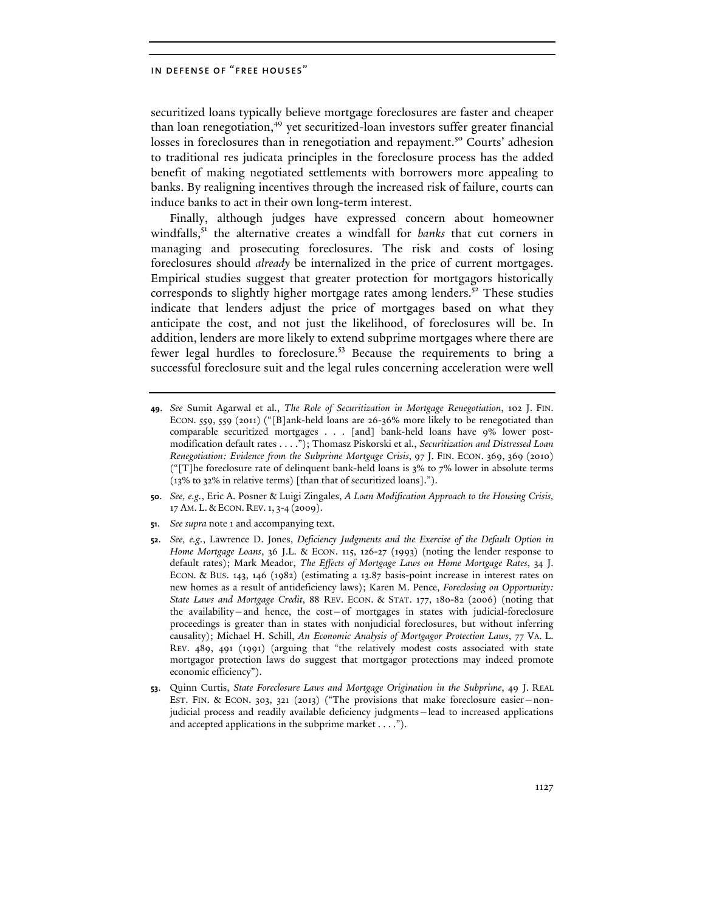securitized loans typically believe mortgage foreclosures are faster and cheaper than loan renegotiation,<sup>49</sup> yet securitized-loan investors suffer greater financial losses in foreclosures than in renegotiation and repayment.<sup>50</sup> Courts' adhesion to traditional res judicata principles in the foreclosure process has the added benefit of making negotiated settlements with borrowers more appealing to banks. By realigning incentives through the increased risk of failure, courts can induce banks to act in their own long-term interest.

Finally, although judges have expressed concern about homeowner windfalls,<sup>51</sup> the alternative creates a windfall for *banks* that cut corners in managing and prosecuting foreclosures. The risk and costs of losing foreclosures should *already* be internalized in the price of current mortgages. Empirical studies suggest that greater protection for mortgagors historically corresponds to slightly higher mortgage rates among lenders.<sup>52</sup> These studies indicate that lenders adjust the price of mortgages based on what they anticipate the cost, and not just the likelihood, of foreclosures will be. In addition, lenders are more likely to extend subprime mortgages where there are fewer legal hurdles to foreclosure.<sup>53</sup> Because the requirements to bring a successful foreclosure suit and the legal rules concerning acceleration were well

- **49**. *See* Sumit Agarwal et al., *The Role of Securitization in Mortgage Renegotiation*, 102 J. FIN. ECON. 559, 559 (2011) ("[B]ank-held loans are 26-36% more likely to be renegotiated than comparable securitized mortgages . . . [and] bank-held loans have 9% lower postmodification default rates . . . ."); Thomasz Piskorski et al., *Securitization and Distressed Loan Renegotiation: Evidence from the Subprime Mortgage Crisis*, 97 J. FIN. ECON. 369, 369 (2010) ("[T]he foreclosure rate of delinquent bank-held loans is 3% to 7% lower in absolute terms (13% to 32% in relative terms) [than that of securitized loans].").
- **50**. *See, e.g.*, Eric A. Posner & Luigi Zingales, *A Loan Modification Approach to the Housing Crisis,*  17 AM. L. & ECON. REV. 1, 3-4 (2009).
- **51**. *See supra* note 1 and accompanying text.
- **52**. *See, e.g.*, Lawrence D. Jones, *Deficiency Judgments and the Exercise of the Default Option in Home Mortgage Loans*, 36 J.L. & ECON. 115, 126-27 (1993) (noting the lender response to default rates); Mark Meador, *The Effects of Mortgage Laws on Home Mortgage Rates*, 34 J. ECON. & BUS. 143, 146 (1982) (estimating a 13.87 basis-point increase in interest rates on new homes as a result of antideficiency laws); Karen M. Pence, *Foreclosing on Opportunity: State Laws and Mortgage Credit*, 88 REV. ECON. & STAT. 177, 180-82 (2006) (noting that the availability—and hence, the cost—of mortgages in states with judicial-foreclosure proceedings is greater than in states with nonjudicial foreclosures, but without inferring causality); Michael H. Schill, *An Economic Analysis of Mortgagor Protection Laws*, 77 VA. L. REV. 489, 491 (1991) (arguing that "the relatively modest costs associated with state mortgagor protection laws do suggest that mortgagor protections may indeed promote economic efficiency").
- **53**. Quinn Curtis, *State Foreclosure Laws and Mortgage Origination in the Subprime*, 49 J. REAL EST. FIN. & ECON. 303, 321 (2013) ("The provisions that make foreclosure easier—nonjudicial process and readily available deficiency judgments—lead to increased applications and accepted applications in the subprime market . . . .").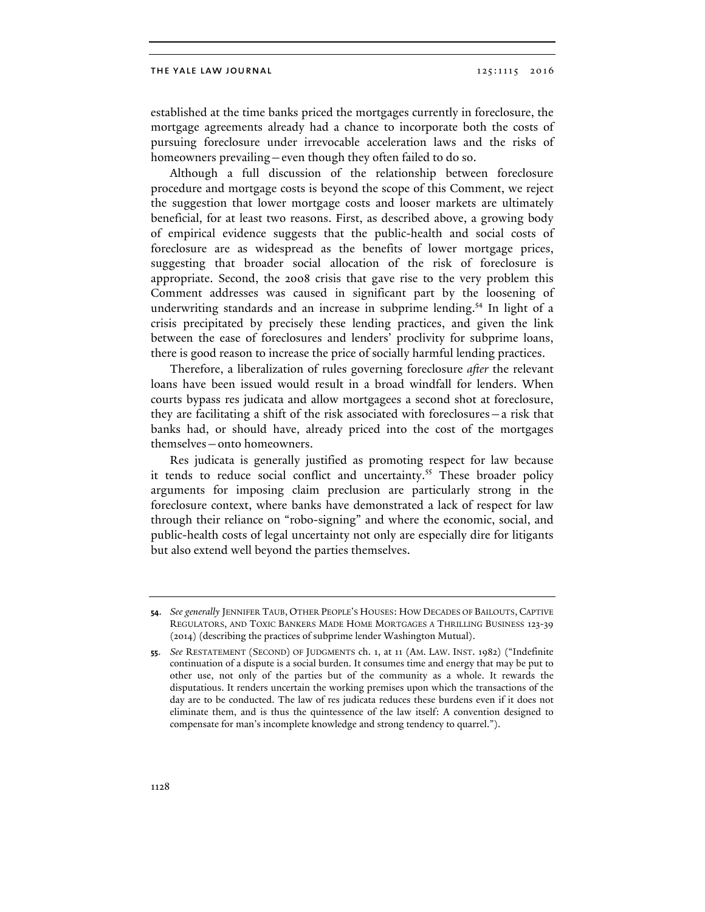established at the time banks priced the mortgages currently in foreclosure, the mortgage agreements already had a chance to incorporate both the costs of pursuing foreclosure under irrevocable acceleration laws and the risks of homeowners prevailing—even though they often failed to do so.

Although a full discussion of the relationship between foreclosure procedure and mortgage costs is beyond the scope of this Comment, we reject the suggestion that lower mortgage costs and looser markets are ultimately beneficial, for at least two reasons. First, as described above, a growing body of empirical evidence suggests that the public-health and social costs of foreclosure are as widespread as the benefits of lower mortgage prices, suggesting that broader social allocation of the risk of foreclosure is appropriate. Second, the 2008 crisis that gave rise to the very problem this Comment addresses was caused in significant part by the loosening of underwriting standards and an increase in subprime lending.<sup>54</sup> In light of a crisis precipitated by precisely these lending practices, and given the link between the ease of foreclosures and lenders' proclivity for subprime loans, there is good reason to increase the price of socially harmful lending practices.

Therefore, a liberalization of rules governing foreclosure *after* the relevant loans have been issued would result in a broad windfall for lenders. When courts bypass res judicata and allow mortgagees a second shot at foreclosure, they are facilitating a shift of the risk associated with foreclosures—a risk that banks had, or should have, already priced into the cost of the mortgages themselves—onto homeowners.

Res judicata is generally justified as promoting respect for law because it tends to reduce social conflict and uncertainty.<sup>55</sup> These broader policy arguments for imposing claim preclusion are particularly strong in the foreclosure context, where banks have demonstrated a lack of respect for law through their reliance on "robo-signing" and where the economic, social, and public-health costs of legal uncertainty not only are especially dire for litigants but also extend well beyond the parties themselves.

**<sup>54</sup>**. *See generally* JENNIFER TAUB, OTHER PEOPLE'S HOUSES: HOW DECADES OF BAILOUTS, CAPTIVE REGULATORS, AND TOXIC BANKERS MADE HOME MORTGAGES A THRILLING BUSINESS 123-39 (2014) (describing the practices of subprime lender Washington Mutual).

**<sup>55</sup>**. *See* RESTATEMENT (SECOND) OF JUDGMENTS ch. 1, at 11 (AM. LAW. INST. 1982) ("Indefinite continuation of a dispute is a social burden. It consumes time and energy that may be put to other use, not only of the parties but of the community as a whole. It rewards the disputatious. It renders uncertain the working premises upon which the transactions of the day are to be conducted. The law of res judicata reduces these burdens even if it does not eliminate them, and is thus the quintessence of the law itself: A convention designed to compensate for man's incomplete knowledge and strong tendency to quarrel.").